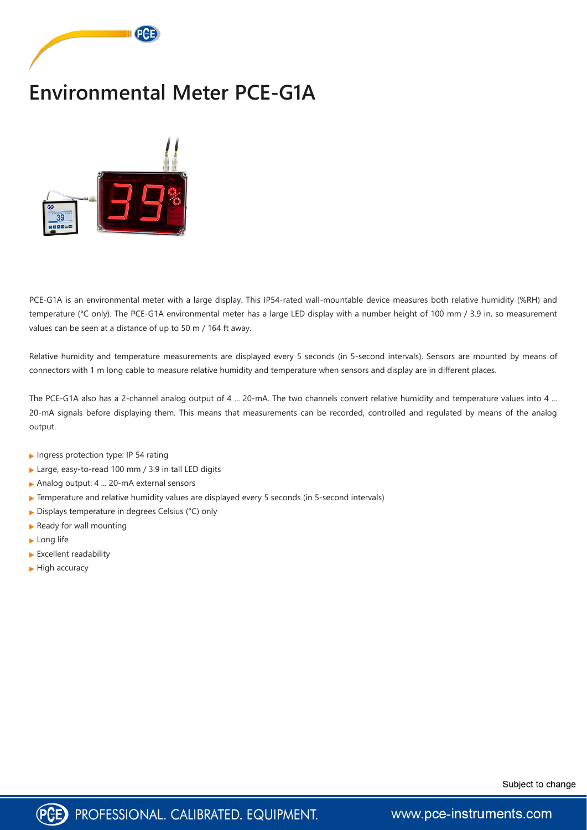

## **Environmental Meter PCE-G1A**



PCE-G1A is an environmental meter with a large display. This IP54-rated wall-mountable device measures both relative humidity (%RH) and temperature (°C only). The PCE-G1A environmental meter has a large LED display with a number height of 100 mm / 3.9 in, so measurement values can be seen at a distance of up to 50 m / 164 ft away.

Relative humidity and temperature measurements are displayed every 5 seconds (in 5-second intervals). Sensors are mounted by means of connectors with 1 m long cable to measure relative humidity and temperature when sensors and display are in different places.

The PCE-G1A also has a 2-channel analog output of 4 ... 20-mA. The two channels convert relative humidity and temperature values into 4 ... 20-mA signals before displaying them. This means that measurements can be recorded, controlled and regulated by means of the analog output.

- Ingress protection type: IP 54 rating
- ▶ Large, easy-to-read 100 mm / 3.9 in tall LED digits
- Analog output: 4 ... 20-mA external sensors
- ▶ Temperature and relative humidity values are displayed every 5 seconds (in 5-second intervals)
- ▶ Displays temperature in degrees Celsius (°C) only
- $\blacktriangleright$  Ready for wall mounting
- **Long life**
- Excellent readability
- $\blacktriangleright$  High accuracy





www.pce-instruments.com